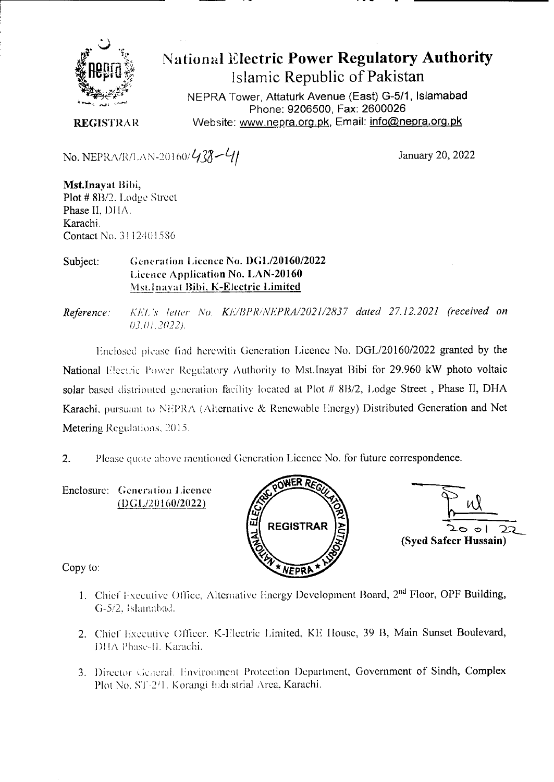

# National Electric Power Regulatory Authority Islamic Republic of Pakistan

NEPRA Tower, Attaturk Avenue (East) G-5/1, **Islamabad**  Phone: 9206500, Fax: 2600026 Website: www.nepra.org.pk, Email: **info@nepra.org.pk** 

**REGISTRAR** 

No. NEPRA/R/LAN-20160/ $\frac{438-\frac{11}{11}}{41}$  January 20, 2022

**Mst.Inayat** Bibi, Plot # 8B/2. Lodge Street Phase II, DHA. Karachi. Contact No. 3112401586

#### Subject: Generation Licence No. DGL/20160/2022 Licence Application No. **LAN-20160**  Mst.Inayat Bibi, K-Electric Limited

Reference: *KEL's letter No. KE/BPR/NEPRA/2021/2837 dated 27.12.2021 (received on 03.01.2022).* 

Enclosed please find herewith Generation Licence No. DGL/20160/2022 granted by the National Electric Power Regulatory Authority to Mst.Inayat Bibi for 29.960 kW photo voltaic solar based distributed generation facility located at Plot # 8B/2, Lodge Street, Phase II, DHA Karachi, pursuant to NEPRA (Alternative & Renewable Energy) Distributed Generation and Net Metering Regulations, 2015.

2. Please quote above mentioned Generation Licence No. for future correspondence.

Enclosure: Generation Licence (DGL/20 160/2022)



 $\circ$  ) ⊃1 **(Syed Safeer Hussain)** 

Copy to:

- 1. Chief Executive Office, Alternative Energy Development Board, 2<sup>nd</sup> Floor, OPF Building, 0-52. Islainahad.
- 2. Chief Executive Officer. K-Electric Limited, KE House, 39 B, Main Sunset Boulevard, DHA Phase-II, Karachi.
- 3. Director General. Environment Protection Department, Government of Sindh, Complex Plot No. ST-2/1. Korangi Industrial Area, Karachi.